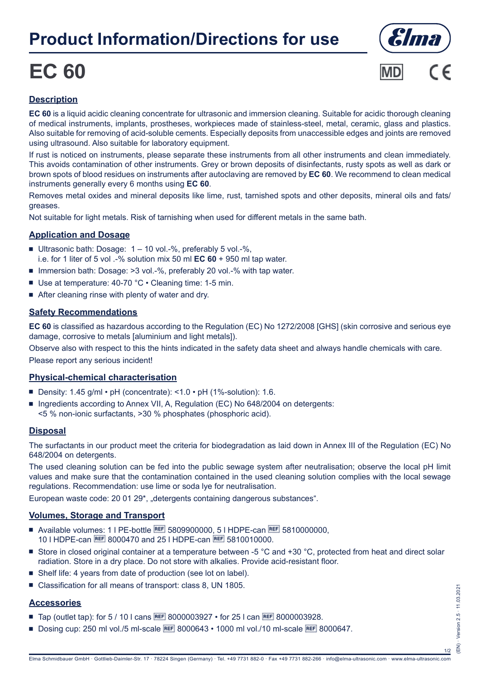## **Product Information/Directions for use**

# **EC 60**





### **Description**

**EC 60** is a liquid acidic cleaning concentrate for ultrasonic and immersion cleaning. Suitable for acidic thorough cleaning of medical instruments, implants, prostheses, workpieces made of stainless-steel, metal, ceramic, glass and plastics. Also suitable for removing of acid-soluble cements. Especially deposits from unaccessible edges and joints are removed using ultrasound. Also suitable for laboratory equipment.

If rust is noticed on instruments, please separate these instruments from all other instruments and clean immediately. This avoids contamination of other instruments. Grey or brown deposits of disinfectants, rusty spots as well as dark or brown spots of blood residues on instruments after autoclaving are removed by **EC 60**. We recommend to clean medical instruments generally every 6 months using **EC 60**.

Removes metal oxides and mineral deposits like lime, rust, tarnished spots and other deposits, mineral oils and fats/ greases.

Not suitable for light metals. Risk of tarnishing when used for different metals in the same bath.

#### **Application and Dosage**

- Ultrasonic bath: Dosage:  $1 10$  vol.-%, preferably 5 vol.-%, i.e. for 1 liter of 5 vol .-% solution mix 50 ml **EC 60** + 950 ml tap water.
- Immersion bath: Dosage: >3 vol.-%, preferably 20 vol.-% with tap water.
- Use at temperature: 40-70 °C Cleaning time: 1-5 min.
- $\blacksquare$  After cleaning rinse with plenty of water and dry.

#### **Safety Recommendations**

**EC 60** is classified as hazardous according to the Regulation (EC) No 1272/2008 [GHS] (skin corrosive and serious eye damage, corrosive to metals [aluminium and light metals]).

Observe also with respect to this the hints indicated in the safety data sheet and always handle chemicals with care. Please report any serious incident!

#### **Physical-chemical characterisation**

- Density: 1.45 g/ml pH (concentrate): <1.0 pH (1%-solution): 1.6.
- Ingredients according to Annex VII, A, Regulation (EC) No 648/2004 on detergents: <5 % non-ionic surfactants, >30 % phosphates (phosphoric acid).

#### **Disposal**

The surfactants in our product meet the criteria for biodegradation as laid down in Annex III of the Regulation (EC) No 648/2004 on detergents.

The used cleaning solution can be fed into the public sewage system after neutralisation; observe the local pH limit values and make sure that the contamination contained in the used cleaning solution complies with the local sewage regulations. Recommendation: use lime or soda lye for neutralisation.

European waste code: 20 01 29\*, "detergents containing dangerous substances".

#### **Volumes, Storage and Transport**

- Available volumes: 1 | PE-bottle REF 5809900000, 5 | HDPE-can REF 5810000000. 10 I HDPE-can REE 8000470 and 25 I HDPE-can REE 5810010000.
- Store in closed original container at a temperature between -5 °C and +30 °C, protected from heat and direct solar radiation. Store in a dry place. Do not store with alkalies. Provide acid-resistant floor.
- Shelf life: 4 years from date of production (see lot on label).
- Classification for all means of transport: class 8, UN 1805.

#### **Accessories**

- Tap (outlet tap): for 5 / 10 l cans REE 8000003927 for 25 l can REE 8000003928.
- Dosing cup: 250 ml vol./5 ml-scale **BEF** 8000643 1000 ml vol./10 ml-scale **BEF** 8000647.

1/2